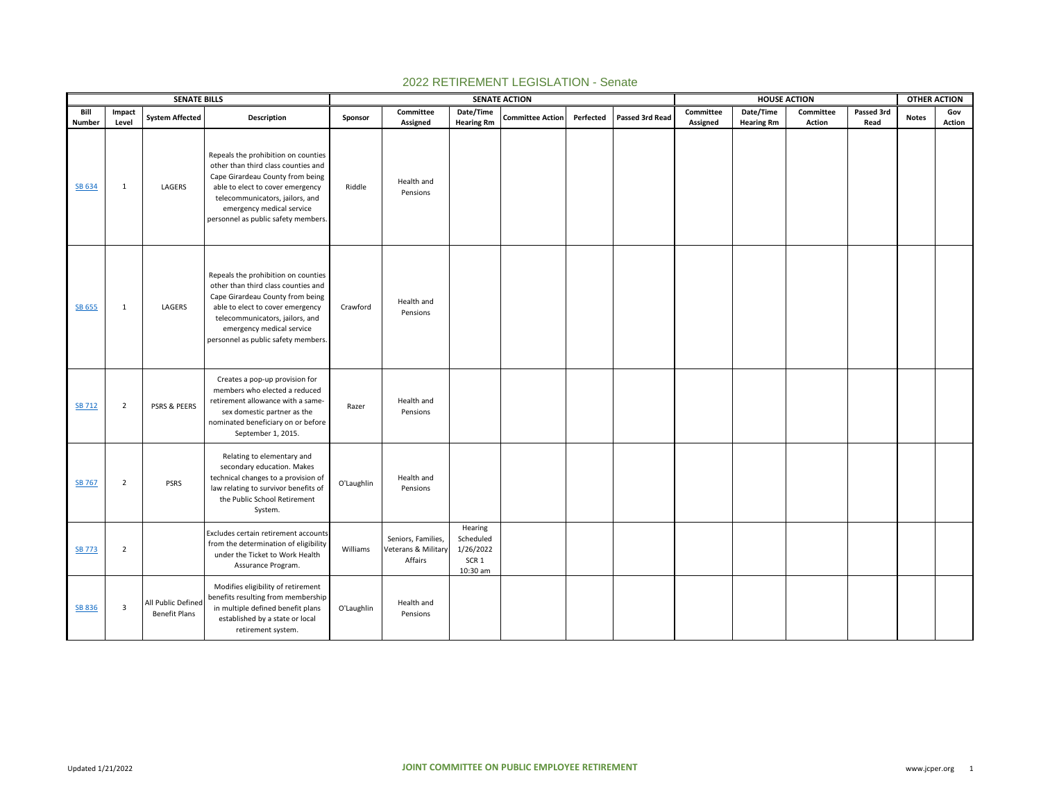|                |                 | <b>SENATE BILLS</b>                        |                                                                                                                                                                                                                                                           |            |                                                      |                                                                   | <b>SENATE ACTION</b>    |           |                 |                       | <b>HOUSE ACTION</b>            |                     |                    | <b>OTHER ACTION</b> |               |
|----------------|-----------------|--------------------------------------------|-----------------------------------------------------------------------------------------------------------------------------------------------------------------------------------------------------------------------------------------------------------|------------|------------------------------------------------------|-------------------------------------------------------------------|-------------------------|-----------|-----------------|-----------------------|--------------------------------|---------------------|--------------------|---------------------|---------------|
| Bill<br>Number | Impact<br>Level | <b>System Affected</b>                     | Description                                                                                                                                                                                                                                               | Sponsor    | Committee<br>Assigned                                | Date/Time<br><b>Hearing Rm</b>                                    | <b>Committee Action</b> | Perfected | Passed 3rd Read | Committee<br>Assigned | Date/Time<br><b>Hearing Rm</b> | Committee<br>Action | Passed 3rd<br>Read | <b>Notes</b>        | Gov<br>Action |
| SB 634         | $\mathbf{1}$    | LAGERS                                     | Repeals the prohibition on counties<br>other than third class counties and<br>Cape Girardeau County from being<br>able to elect to cover emergency<br>telecommunicators, jailors, and<br>emergency medical service<br>personnel as public safety members. | Riddle     | Health and<br>Pensions                               |                                                                   |                         |           |                 |                       |                                |                     |                    |                     |               |
| <b>SB 655</b>  | $\mathbf{1}$    | LAGERS                                     | Repeals the prohibition on counties<br>other than third class counties and<br>Cape Girardeau County from being<br>able to elect to cover emergency<br>telecommunicators, jailors, and<br>emergency medical service<br>personnel as public safety members. | Crawford   | Health and<br>Pensions                               |                                                                   |                         |           |                 |                       |                                |                     |                    |                     |               |
| <b>SB 712</b>  | $\overline{2}$  | PSRS & PEERS                               | Creates a pop-up provision for<br>members who elected a reduced<br>retirement allowance with a same-<br>sex domestic partner as the<br>nominated beneficiary on or before<br>September 1, 2015.                                                           | Razer      | Health and<br>Pensions                               |                                                                   |                         |           |                 |                       |                                |                     |                    |                     |               |
| <b>SB 767</b>  | $\overline{2}$  | <b>PSRS</b>                                | Relating to elementary and<br>secondary education. Makes<br>technical changes to a provision of<br>law relating to survivor benefits of<br>the Public School Retirement<br>System.                                                                        | O'Laughlin | Health and<br>Pensions                               |                                                                   |                         |           |                 |                       |                                |                     |                    |                     |               |
| <b>SB 773</b>  | $\overline{2}$  |                                            | Excludes certain retirement accounts<br>from the determination of eligibility<br>under the Ticket to Work Health<br>Assurance Program.                                                                                                                    | Williams   | Seniors, Families,<br>Veterans & Military<br>Affairs | Hearing<br>Scheduled<br>1/26/2022<br>SCR <sub>1</sub><br>10:30 am |                         |           |                 |                       |                                |                     |                    |                     |               |
| <b>SB 836</b>  | 3               | All Public Defined<br><b>Benefit Plans</b> | Modifies eligibility of retirement<br>benefits resulting from membership<br>in multiple defined benefit plans<br>established by a state or local<br>retirement system.                                                                                    | O'Laughlin | Health and<br>Pensions                               |                                                                   |                         |           |                 |                       |                                |                     |                    |                     |               |

## 2022 RETIREMENT LEGISLATION - Senate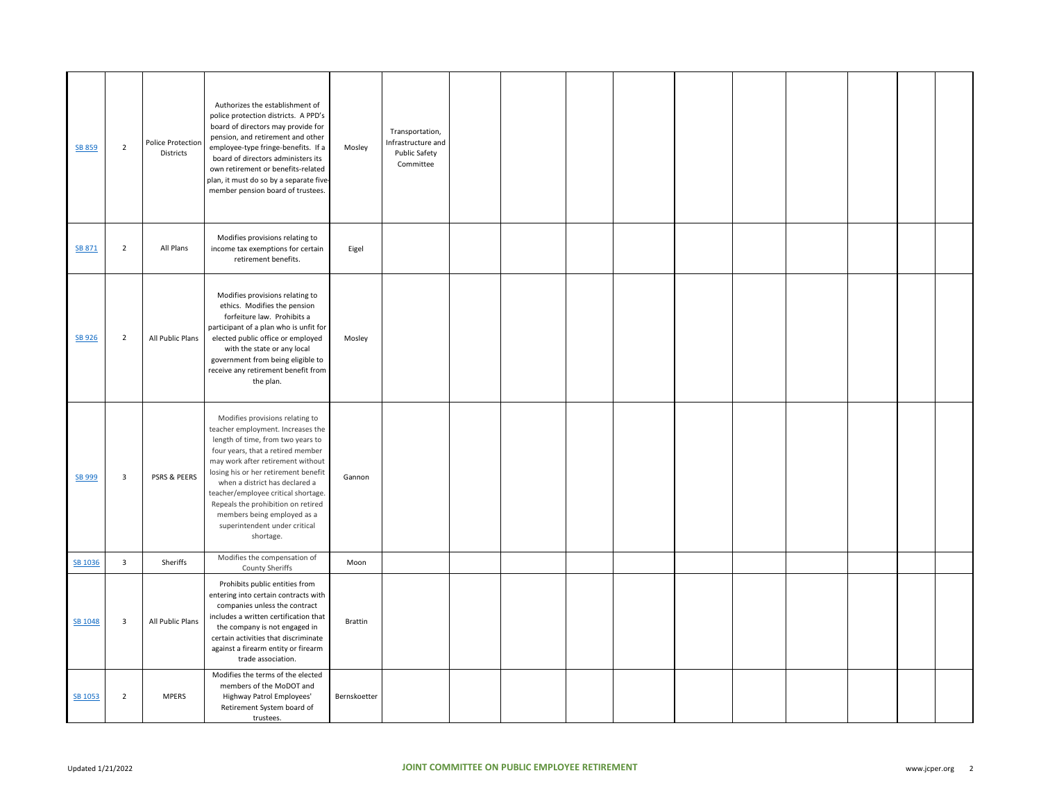| SB 859  | $\overline{2}$          | <b>Police Protection</b><br>Districts | Authorizes the establishment of<br>police protection districts. A PPD's<br>board of directors may provide for<br>pension, and retirement and other<br>employee-type fringe-benefits. If a<br>board of directors administers its<br>own retirement or benefits-related<br>plan, it must do so by a separate five-<br>member pension board of trustees.                                                                   | Mosley         | Transportation,<br>Infrastructure and<br>Public Safety<br>Committee |  |  |  |  |  |
|---------|-------------------------|---------------------------------------|-------------------------------------------------------------------------------------------------------------------------------------------------------------------------------------------------------------------------------------------------------------------------------------------------------------------------------------------------------------------------------------------------------------------------|----------------|---------------------------------------------------------------------|--|--|--|--|--|
| SB 871  | $\overline{2}$          | All Plans                             | Modifies provisions relating to<br>income tax exemptions for certain<br>retirement benefits.                                                                                                                                                                                                                                                                                                                            | Eigel          |                                                                     |  |  |  |  |  |
| SB 926  | $\overline{2}$          | All Public Plans                      | Modifies provisions relating to<br>ethics. Modifies the pension<br>forfeiture law. Prohibits a<br>participant of a plan who is unfit for<br>elected public office or employed<br>with the state or any local<br>government from being eligible to<br>receive any retirement benefit from<br>the plan.                                                                                                                   | Mosley         |                                                                     |  |  |  |  |  |
| SB 999  | $\overline{3}$          | PSRS & PEERS                          | Modifies provisions relating to<br>teacher employment. Increases the<br>length of time, from two years to<br>four years, that a retired member<br>may work after retirement without<br>losing his or her retirement benefit<br>when a district has declared a<br>teacher/employee critical shortage.<br>Repeals the prohibition on retired<br>members being employed as a<br>superintendent under critical<br>shortage. | Gannon         |                                                                     |  |  |  |  |  |
| SB 1036 | $\overline{3}$          | Sheriffs                              | Modifies the compensation of<br>County Sheriffs                                                                                                                                                                                                                                                                                                                                                                         | Moon           |                                                                     |  |  |  |  |  |
| SB 1048 | $\overline{\mathbf{3}}$ | All Public Plans                      | Prohibits public entities from<br>entering into certain contracts with<br>companies unless the contract<br>includes a written certification that<br>the company is not engaged in<br>certain activities that discriminate<br>against a firearm entity or firearm<br>trade association.                                                                                                                                  | <b>Brattin</b> |                                                                     |  |  |  |  |  |
| SB 1053 | $\overline{2}$          | <b>MPERS</b>                          | Modifies the terms of the elected<br>members of the MoDOT and<br>Highway Patrol Employees'<br>Retirement System board of<br>trustees.                                                                                                                                                                                                                                                                                   | Bernskoetter   |                                                                     |  |  |  |  |  |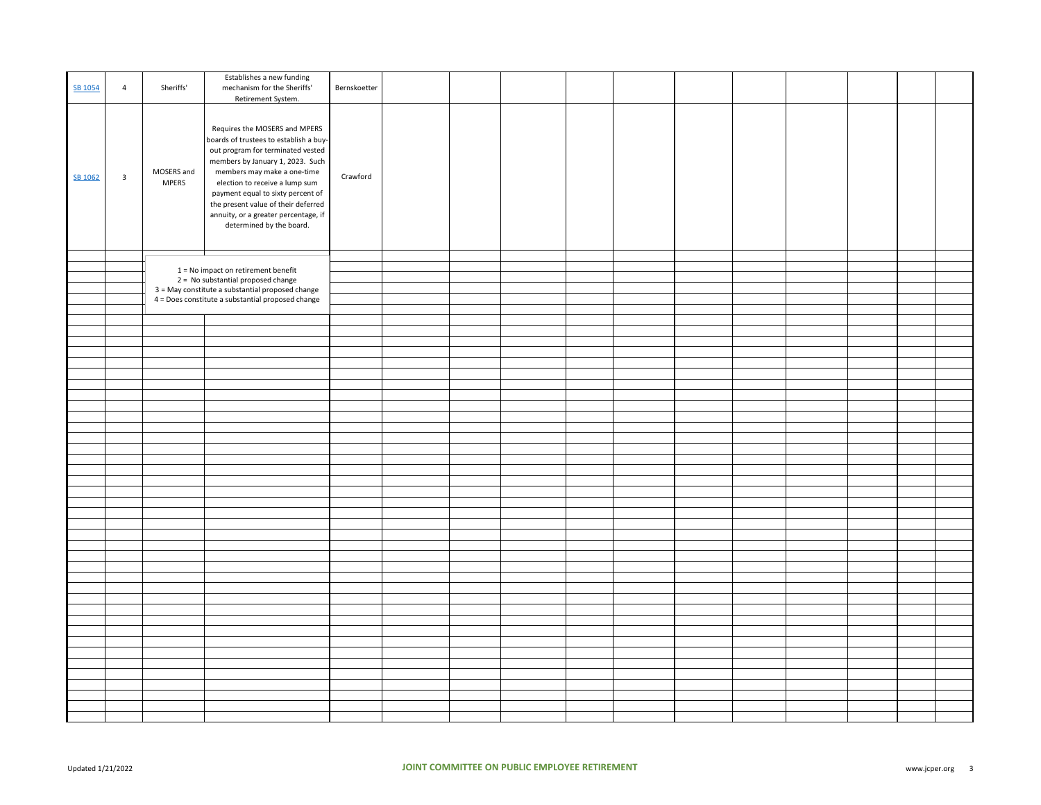| SB 1054 | 4                       | Sheriffs'                  | Establishes a new funding<br>mechanism for the Sheriffs'<br>Retirement System.                                                                                                                                                                                                                                                                                    | Bernskoetter |  |  |  |  |  |  |
|---------|-------------------------|----------------------------|-------------------------------------------------------------------------------------------------------------------------------------------------------------------------------------------------------------------------------------------------------------------------------------------------------------------------------------------------------------------|--------------|--|--|--|--|--|--|
| SB 1062 | $\overline{\mathbf{3}}$ | MOSERS and<br><b>MPERS</b> | Requires the MOSERS and MPERS<br>boards of trustees to establish a buy-<br>out program for terminated vested<br>members by January 1, 2023. Such<br>members may make a one-time<br>election to receive a lump sum<br>payment equal to sixty percent of<br>the present value of their deferred<br>annuity, or a greater percentage, if<br>determined by the board. | Crawford     |  |  |  |  |  |  |
|         |                         |                            |                                                                                                                                                                                                                                                                                                                                                                   |              |  |  |  |  |  |  |
|         |                         |                            | $1 = No$ impact on retirement benefit                                                                                                                                                                                                                                                                                                                             |              |  |  |  |  |  |  |
|         |                         |                            | 2 = No substantial proposed change<br>3 = May constitute a substantial proposed change                                                                                                                                                                                                                                                                            |              |  |  |  |  |  |  |
|         |                         |                            | 4 = Does constitute a substantial proposed change                                                                                                                                                                                                                                                                                                                 |              |  |  |  |  |  |  |
|         |                         |                            |                                                                                                                                                                                                                                                                                                                                                                   |              |  |  |  |  |  |  |
|         |                         |                            |                                                                                                                                                                                                                                                                                                                                                                   |              |  |  |  |  |  |  |
|         |                         |                            |                                                                                                                                                                                                                                                                                                                                                                   |              |  |  |  |  |  |  |
|         |                         |                            |                                                                                                                                                                                                                                                                                                                                                                   |              |  |  |  |  |  |  |
|         |                         |                            |                                                                                                                                                                                                                                                                                                                                                                   |              |  |  |  |  |  |  |
|         |                         |                            |                                                                                                                                                                                                                                                                                                                                                                   |              |  |  |  |  |  |  |
|         |                         |                            |                                                                                                                                                                                                                                                                                                                                                                   |              |  |  |  |  |  |  |
|         |                         |                            |                                                                                                                                                                                                                                                                                                                                                                   |              |  |  |  |  |  |  |
|         |                         |                            |                                                                                                                                                                                                                                                                                                                                                                   |              |  |  |  |  |  |  |
|         |                         |                            |                                                                                                                                                                                                                                                                                                                                                                   |              |  |  |  |  |  |  |
|         |                         |                            |                                                                                                                                                                                                                                                                                                                                                                   |              |  |  |  |  |  |  |
|         |                         |                            |                                                                                                                                                                                                                                                                                                                                                                   |              |  |  |  |  |  |  |
|         |                         |                            |                                                                                                                                                                                                                                                                                                                                                                   |              |  |  |  |  |  |  |
|         |                         |                            |                                                                                                                                                                                                                                                                                                                                                                   |              |  |  |  |  |  |  |
|         |                         |                            |                                                                                                                                                                                                                                                                                                                                                                   |              |  |  |  |  |  |  |
|         |                         |                            |                                                                                                                                                                                                                                                                                                                                                                   |              |  |  |  |  |  |  |
|         |                         |                            |                                                                                                                                                                                                                                                                                                                                                                   |              |  |  |  |  |  |  |
|         |                         |                            |                                                                                                                                                                                                                                                                                                                                                                   |              |  |  |  |  |  |  |
|         |                         |                            |                                                                                                                                                                                                                                                                                                                                                                   |              |  |  |  |  |  |  |
|         |                         |                            |                                                                                                                                                                                                                                                                                                                                                                   |              |  |  |  |  |  |  |
|         |                         |                            |                                                                                                                                                                                                                                                                                                                                                                   |              |  |  |  |  |  |  |
|         |                         |                            |                                                                                                                                                                                                                                                                                                                                                                   |              |  |  |  |  |  |  |
|         |                         |                            |                                                                                                                                                                                                                                                                                                                                                                   |              |  |  |  |  |  |  |
|         |                         |                            |                                                                                                                                                                                                                                                                                                                                                                   |              |  |  |  |  |  |  |
|         |                         |                            |                                                                                                                                                                                                                                                                                                                                                                   |              |  |  |  |  |  |  |
|         |                         |                            |                                                                                                                                                                                                                                                                                                                                                                   |              |  |  |  |  |  |  |
|         |                         |                            |                                                                                                                                                                                                                                                                                                                                                                   |              |  |  |  |  |  |  |
|         |                         |                            |                                                                                                                                                                                                                                                                                                                                                                   |              |  |  |  |  |  |  |
|         |                         |                            |                                                                                                                                                                                                                                                                                                                                                                   |              |  |  |  |  |  |  |
|         |                         |                            |                                                                                                                                                                                                                                                                                                                                                                   |              |  |  |  |  |  |  |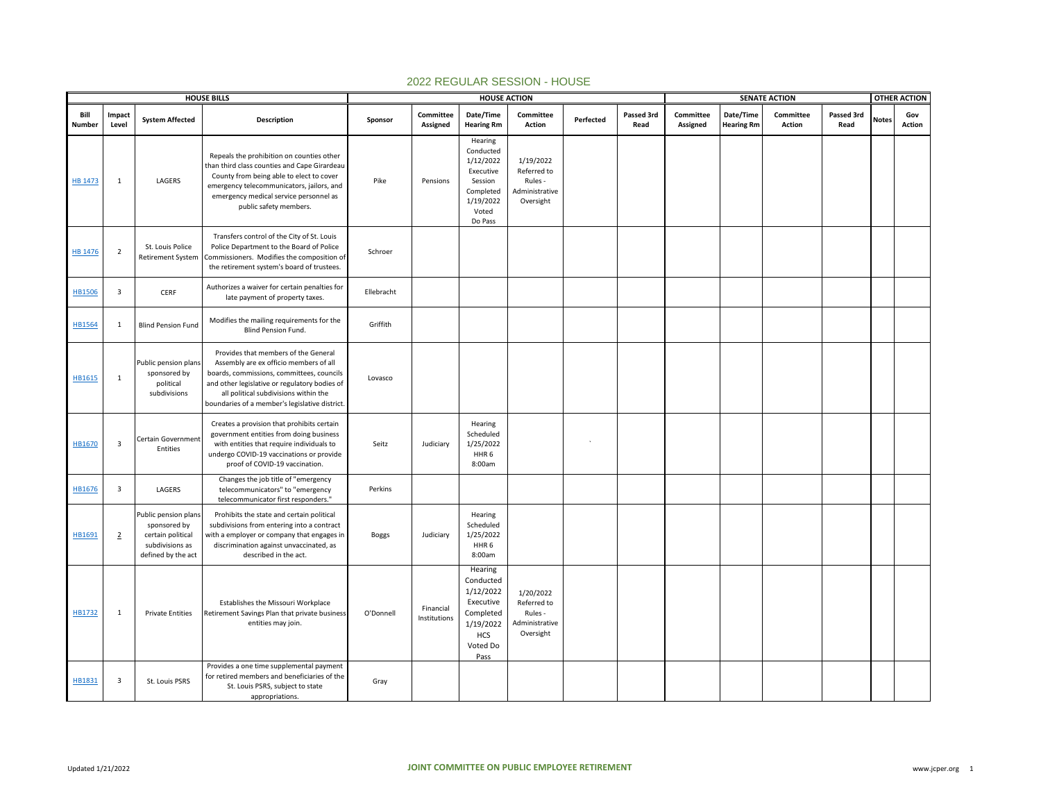|                |                         |                                                                                                    | <b>HOUSE BILLS</b>                                                                                                                                                                                                                                                     |              |                           | <b>HOUSE ACTION</b>                                                                                        |                                                                    |           |                    |                       |                                | <b>SENATE ACTION</b>       |                    |              | <b>OTHER ACTION</b>  |
|----------------|-------------------------|----------------------------------------------------------------------------------------------------|------------------------------------------------------------------------------------------------------------------------------------------------------------------------------------------------------------------------------------------------------------------------|--------------|---------------------------|------------------------------------------------------------------------------------------------------------|--------------------------------------------------------------------|-----------|--------------------|-----------------------|--------------------------------|----------------------------|--------------------|--------------|----------------------|
| Bill<br>Number | Impact<br>Level         | <b>System Affected</b>                                                                             | <b>Description</b>                                                                                                                                                                                                                                                     | Sponsor      | Committee<br>Assigned     | Date/Time<br><b>Hearing Rm</b>                                                                             | Committee<br><b>Action</b>                                         | Perfected | Passed 3rd<br>Read | Committee<br>Assigned | Date/Time<br><b>Hearing Rm</b> | Committee<br><b>Action</b> | Passed 3rd<br>Read | <b>Notes</b> | Gov<br><b>Action</b> |
| <b>HB 1473</b> | $\mathbf{1}$            | LAGERS                                                                                             | Repeals the prohibition on counties other<br>than third class counties and Cape Girardeau<br>County from being able to elect to cover<br>emergency telecommunicators, jailors, and<br>emergency medical service personnel as<br>public safety members.                 | Pike         | Pensions                  | Hearing<br>Conducted<br>1/12/2022<br>Executive<br>Session<br>Completed<br>1/19/2022<br>Voted<br>Do Pass    | 1/19/2022<br>Referred to<br>Rules -<br>Administrative<br>Oversight |           |                    |                       |                                |                            |                    |              |                      |
| HB 1476        | $\overline{2}$          | St. Louis Police<br><b>Retirement System</b>                                                       | Transfers control of the City of St. Louis<br>Police Department to the Board of Police<br>Commissioners. Modifies the composition of<br>the retirement system's board of trustees.                                                                                     | Schroer      |                           |                                                                                                            |                                                                    |           |                    |                       |                                |                            |                    |              |                      |
| <b>HB1506</b>  | $\overline{\mathbf{3}}$ | CERF                                                                                               | Authorizes a waiver for certain penalties for<br>late payment of property taxes.                                                                                                                                                                                       | Ellebracht   |                           |                                                                                                            |                                                                    |           |                    |                       |                                |                            |                    |              |                      |
| HB1564         | 1                       | <b>Blind Pension Fund</b>                                                                          | Modifies the mailing requirements for the<br>Blind Pension Fund.                                                                                                                                                                                                       | Griffith     |                           |                                                                                                            |                                                                    |           |                    |                       |                                |                            |                    |              |                      |
| HB1615         | 1                       | Public pension plans<br>sponsored by<br>political<br>subdivisions                                  | Provides that members of the General<br>Assembly are ex officio members of all<br>boards, commissions, committees, councils<br>and other legislative or regulatory bodies of<br>all political subdivisions within the<br>boundaries of a member's legislative district | Lovasco      |                           |                                                                                                            |                                                                    |           |                    |                       |                                |                            |                    |              |                      |
| HB1670         | $\overline{\mathbf{3}}$ | Certain Government<br>Entities                                                                     | Creates a provision that prohibits certain<br>government entities from doing business<br>with entities that require individuals to<br>undergo COVID-19 vaccinations or provide<br>proof of COVID-19 vaccination.                                                       | Seitz        | Judiciary                 | Hearing<br>Scheduled<br>1/25/2022<br>HHR <sub>6</sub><br>8:00am                                            |                                                                    |           |                    |                       |                                |                            |                    |              |                      |
| HB1676         | $\overline{\mathbf{3}}$ | LAGERS                                                                                             | Changes the job title of "emergency<br>telecommunicators" to "emergency<br>telecommunicator first responders."                                                                                                                                                         | Perkins      |                           |                                                                                                            |                                                                    |           |                    |                       |                                |                            |                    |              |                      |
| HB1691         | $\overline{2}$          | Public pension plans<br>sponsored by<br>certain political<br>subdivisions as<br>defined by the act | Prohibits the state and certain political<br>subdivisions from entering into a contract<br>with a employer or company that engages in<br>discrimination against unvaccinated, as<br>described in the act.                                                              | <b>Boggs</b> | Judiciary                 | Hearing<br>Scheduled<br>1/25/2022<br>HHR <sub>6</sub><br>8:00am                                            |                                                                    |           |                    |                       |                                |                            |                    |              |                      |
| HB1732         | 1                       | <b>Private Entities</b>                                                                            | Establishes the Missouri Workplace<br>Retirement Savings Plan that private business<br>entities may join.                                                                                                                                                              | O'Donnell    | Financial<br>Institutions | Hearing<br>Conducted<br>1/12/2022<br>Executive<br>Completed<br>1/19/2022<br><b>HCS</b><br>Voted Do<br>Pass | 1/20/2022<br>Referred to<br>Rules -<br>Administrative<br>Oversight |           |                    |                       |                                |                            |                    |              |                      |
| HB1831         | 3                       | St. Louis PSRS                                                                                     | Provides a one time supplemental payment<br>for retired members and beneficiaries of the<br>St. Louis PSRS, subject to state<br>appropriations.                                                                                                                        | Gray         |                           |                                                                                                            |                                                                    |           |                    |                       |                                |                            |                    |              |                      |

## 2022 REGULAR SESSION - HOUSE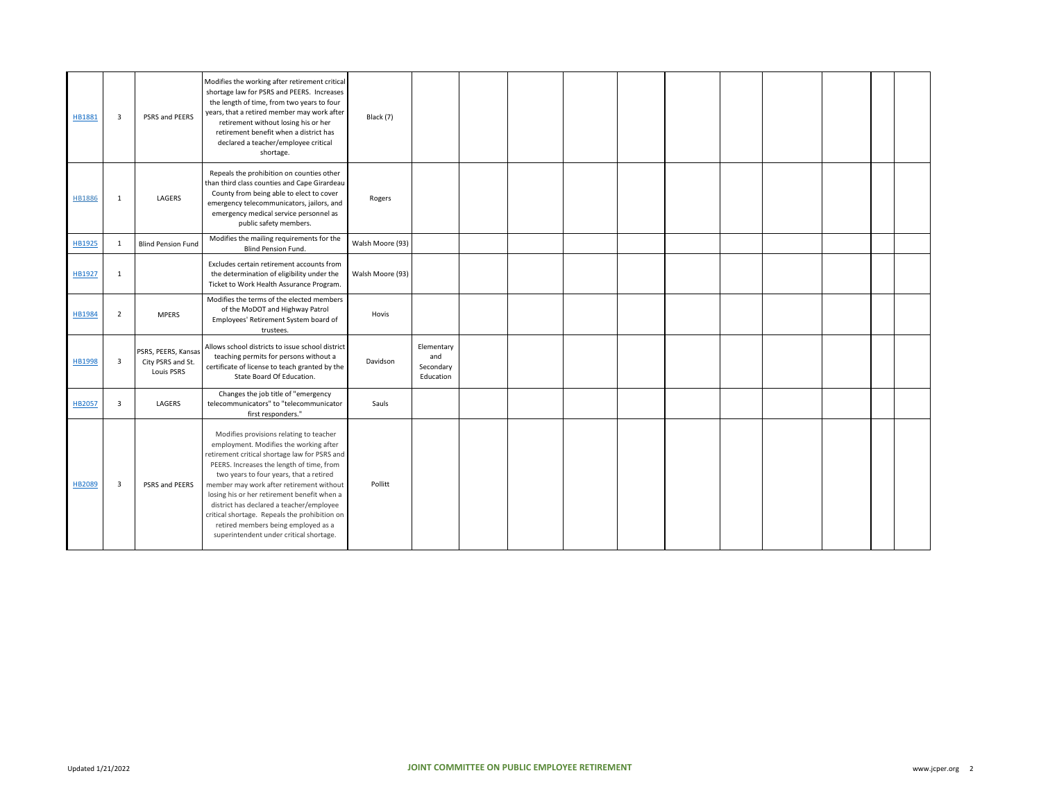| HB1881 | $\overline{\mathbf{3}}$ | PSRS and PEERS                                                | Modifies the working after retirement critical<br>shortage law for PSRS and PEERS. Increases<br>the length of time, from two years to four<br>years, that a retired member may work after<br>retirement without losing his or her<br>retirement benefit when a district has<br>declared a teacher/employee critical<br>shortage.                                                                                                                                                                     | Black (7)        |                                             |  |  |  |  |  |
|--------|-------------------------|---------------------------------------------------------------|------------------------------------------------------------------------------------------------------------------------------------------------------------------------------------------------------------------------------------------------------------------------------------------------------------------------------------------------------------------------------------------------------------------------------------------------------------------------------------------------------|------------------|---------------------------------------------|--|--|--|--|--|
| HB1886 | 1                       | LAGERS                                                        | Repeals the prohibition on counties other<br>than third class counties and Cape Girardeau<br>County from being able to elect to cover<br>emergency telecommunicators, jailors, and<br>emergency medical service personnel as<br>public safety members.                                                                                                                                                                                                                                               | Rogers           |                                             |  |  |  |  |  |
| HB1925 | 1                       | <b>Blind Pension Fund</b>                                     | Modifies the mailing requirements for the<br><b>Blind Pension Fund.</b>                                                                                                                                                                                                                                                                                                                                                                                                                              | Walsh Moore (93) |                                             |  |  |  |  |  |
| HB1927 | 1                       |                                                               | Excludes certain retirement accounts from<br>the determination of eligibility under the<br>Ticket to Work Health Assurance Program.                                                                                                                                                                                                                                                                                                                                                                  | Walsh Moore (93) |                                             |  |  |  |  |  |
| HB1984 | $\overline{2}$          | <b>MPERS</b>                                                  | Modifies the terms of the elected members<br>of the MoDOT and Highway Patrol<br>Employees' Retirement System board of<br>trustees.                                                                                                                                                                                                                                                                                                                                                                   | Hovis            |                                             |  |  |  |  |  |
| HB1998 | $\overline{\mathbf{3}}$ | PSRS, PEERS, Kansas<br>City PSRS and St.<br><b>Louis PSRS</b> | Allows school districts to issue school district<br>teaching permits for persons without a<br>certificate of license to teach granted by the<br>State Board Of Education.                                                                                                                                                                                                                                                                                                                            | Davidson         | Elementary<br>and<br>Secondary<br>Education |  |  |  |  |  |
| HB2057 | $\overline{\mathbf{3}}$ | LAGERS                                                        | Changes the job title of "emergency<br>telecommunicators" to "telecommunicator<br>first responders."                                                                                                                                                                                                                                                                                                                                                                                                 | Sauls            |                                             |  |  |  |  |  |
| HB2089 | $\overline{\mathbf{3}}$ | PSRS and PEERS                                                | Modifies provisions relating to teacher<br>employment. Modifies the working after<br>retirement critical shortage law for PSRS and<br>PEERS. Increases the length of time, from<br>two years to four years, that a retired<br>member may work after retirement without<br>losing his or her retirement benefit when a<br>district has declared a teacher/employee<br>critical shortage. Repeals the prohibition on<br>retired members being employed as a<br>superintendent under critical shortage. | Pollitt          |                                             |  |  |  |  |  |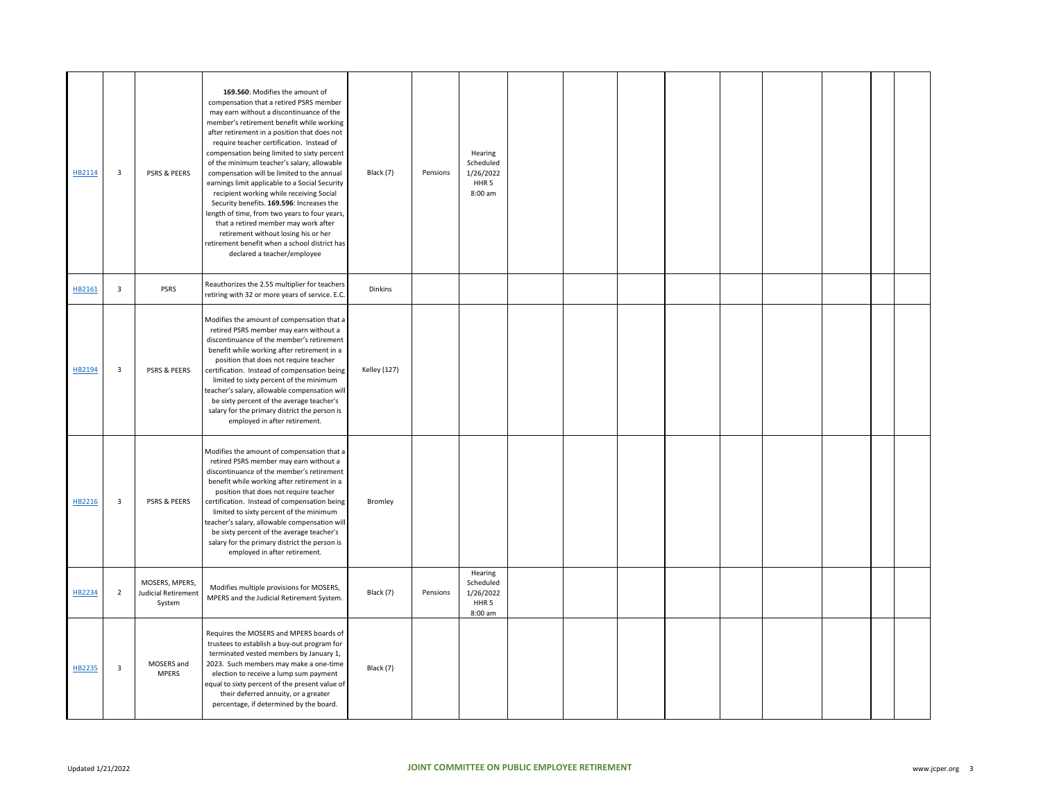| HB2114 | $\overline{\mathbf{3}}$ | PSRS & PEERS                                    | 169.560: Modifies the amount of<br>compensation that a retired PSRS member<br>may earn without a discontinuance of the<br>member's retirement benefit while working<br>after retirement in a position that does not<br>require teacher certification. Instead of<br>compensation being limited to sixty percent<br>of the minimum teacher's salary, allowable<br>compensation will be limited to the annual<br>earnings limit applicable to a Social Security<br>recipient working while receiving Social<br>Security benefits. 169.596: Increases the<br>length of time, from two years to four years,<br>that a retired member may work after<br>retirement without losing his or her<br>retirement benefit when a school district has<br>declared a teacher/employee | Black (7)           | Pensions | Hearing<br>Scheduled<br>1/26/2022<br>HHR <sub>5</sub><br>8:00 am |  |  |  |  |  |
|--------|-------------------------|-------------------------------------------------|-------------------------------------------------------------------------------------------------------------------------------------------------------------------------------------------------------------------------------------------------------------------------------------------------------------------------------------------------------------------------------------------------------------------------------------------------------------------------------------------------------------------------------------------------------------------------------------------------------------------------------------------------------------------------------------------------------------------------------------------------------------------------|---------------------|----------|------------------------------------------------------------------|--|--|--|--|--|
| HB2161 | $\overline{3}$          | PSRS                                            | Reauthorizes the 2.55 multiplier for teachers<br>retiring with 32 or more years of service. E.C.                                                                                                                                                                                                                                                                                                                                                                                                                                                                                                                                                                                                                                                                        | Dinkins             |          |                                                                  |  |  |  |  |  |
| HB2194 | $\overline{\mathbf{3}}$ | <b>PSRS &amp; PEERS</b>                         | Modifies the amount of compensation that a<br>retired PSRS member may earn without a<br>discontinuance of the member's retirement<br>benefit while working after retirement in a<br>position that does not require teacher<br>certification. Instead of compensation being<br>limited to sixty percent of the minimum<br>teacher's salary, allowable compensation will<br>be sixty percent of the average teacher's<br>salary for the primary district the person is<br>employed in after retirement.                                                                                                                                                                                                                                                                   | <b>Kelley (127)</b> |          |                                                                  |  |  |  |  |  |
| HB2216 | $\overline{\mathbf{3}}$ | PSRS & PEERS                                    | Modifies the amount of compensation that a<br>retired PSRS member may earn without a<br>discontinuance of the member's retirement<br>benefit while working after retirement in a<br>position that does not require teacher<br>certification. Instead of compensation being<br>limited to sixty percent of the minimum<br>teacher's salary, allowable compensation will<br>be sixty percent of the average teacher's<br>salary for the primary district the person is<br>employed in after retirement.                                                                                                                                                                                                                                                                   | Bromley             |          |                                                                  |  |  |  |  |  |
| HB2234 | $\overline{2}$          | MOSERS, MPERS,<br>Judicial Retirement<br>System | Modifies multiple provisions for MOSERS,<br>MPERS and the Judicial Retirement System.                                                                                                                                                                                                                                                                                                                                                                                                                                                                                                                                                                                                                                                                                   | Black (7)           | Pensions | Hearing<br>Scheduled<br>1/26/2022<br>HHR <sub>5</sub><br>8:00 am |  |  |  |  |  |
| HB2235 | $\overline{\mathbf{3}}$ | MOSERS and<br><b>MPERS</b>                      | Requires the MOSERS and MPERS boards of<br>trustees to establish a buy-out program for<br>terminated vested members by January 1,<br>2023. Such members may make a one-time<br>election to receive a lump sum payment<br>equal to sixty percent of the present value of<br>their deferred annuity, or a greater<br>percentage, if determined by the board.                                                                                                                                                                                                                                                                                                                                                                                                              | Black (7)           |          |                                                                  |  |  |  |  |  |